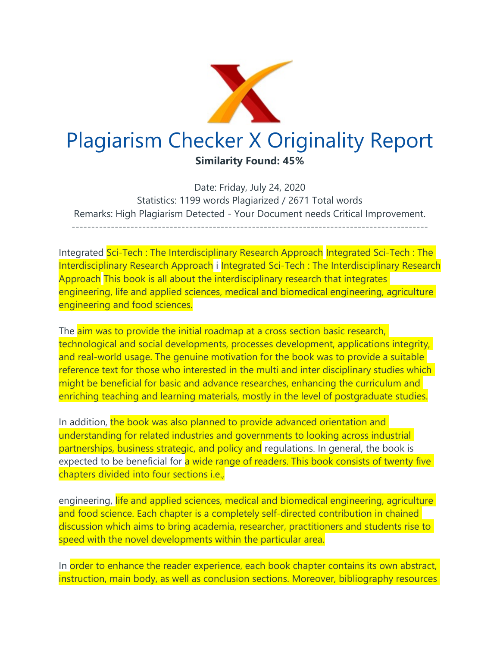

Date: Friday, July 24, 2020 Statistics: 1199 words Plagiarized / 2671 Total words Remarks: High Plagiarism Detected - Your Document needs Critical Improvement. -------------------------------------------------------------------------------------------

Integrated Sci-Tech : The Interdisciplinary Research Approach Integrated Sci-Tech : The Interdisciplinary Research Approach i Integrated Sci-Tech : The Interdisciplinary Research Approach This book is all about the interdisciplinary research that integrates engineering, life and applied sciences, medical and biomedical engineering, agriculture engineering and food sciences.

The aim was to provide the initial roadmap at a cross section basic research, technological and social developments, processes development, applications integrity, and real-world usage. The genuine motivation for the book was to provide a suitable reference text for those who interested in the multi and inter disciplinary studies which might be beneficial for basic and advance researches, enhancing the curriculum and enriching teaching and learning materials, mostly in the level of postgraduate studies.

In addition, the book was also planned to provide advanced orientation and understanding for related industries and governments to looking across industrial partnerships, business strategic, and policy and regulations. In general, the book is expected to be beneficial for a wide range of readers. This book consists of twenty five chapters divided into four sections i.e.,

engineering, life and applied sciences, medical and biomedical engineering, agriculture and food science. Each chapter is a completely self-directed contribution in chained discussion which aims to bring academia, researcher, practitioners and students rise to speed with the novel developments within the particular area.

In order to enhance the reader experience, each book chapter contains its own abstract, instruction, main body, as well as conclusion sections. Moreover, bibliography resources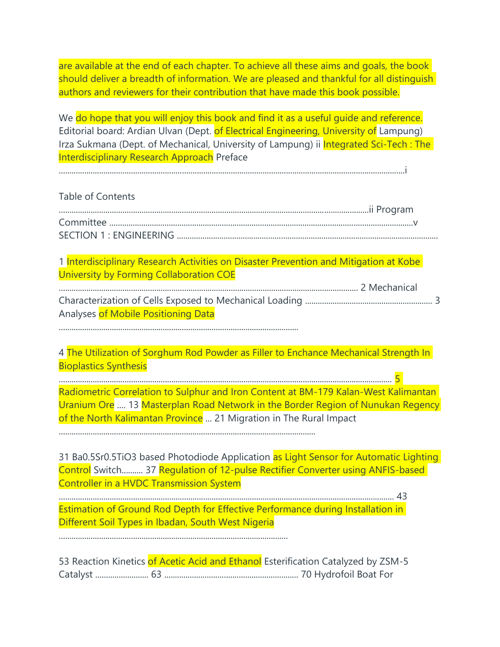are available at the end of each chapter. To achieve all these aims and goals, the book should deliver a breadth of information. We are pleased and thankful for all distinguish authors and reviewers for their contribution that have made this book possible.

We do hope that you will enjoy this book and find it as a useful quide and reference. Editorial board: Ardian Ulvan (Dept. of Electrical Engineering, University of Lampung) Irza Sukmana (Dept. of Mechanical, University of Lampung) ii **Integrated Sci-Tech: The** Interdisciplinary Research Approach Preface

...................................................................................................................................................................i

#### Table of Contents

1 Interdisciplinary Research Activities on Disaster Prevention and Mitigation at Kobe University by Forming Collaboration COE

| Analyses of Mobile Positioning Data |  |
|-------------------------------------|--|

.................................................................................................................

4 The Utilization of Sorghum Rod Powder as Filler to Enchance Mechanical Strength In Bioplastics Synthesis

............................................................................................................................................................. 5 Radiometric Correlation to Sulphur and Iron Content at BM-179 Kalan-West Kalimantan Uranium Ore .... 13 Masterplan Road Network in the Border Region of Nunukan Regency of the North Kalimantan Province ... 21 Migration in The Rural Impact

.........................................................................................................................

31 Ba0.5Sr0.5TiO3 based Photodiode Application as Light Sensor for Automatic Lighting Control Switch.......... 37 Regulation of 12-pulse Rectifier Converter using ANFIS-based Controller in a HVDC Transmission System

.............................................................................................................................................................. 43 Estimation of Ground Rod Depth for Effective Performance during Installation in Different Soil Types in Ibadan, South West Nigeria

............................................................................................................

|  | 53 Reaction Kinetics of Acetic Acid and Ethanol Esterification Catalyzed by ZSM-5 |
|--|-----------------------------------------------------------------------------------|
|  |                                                                                   |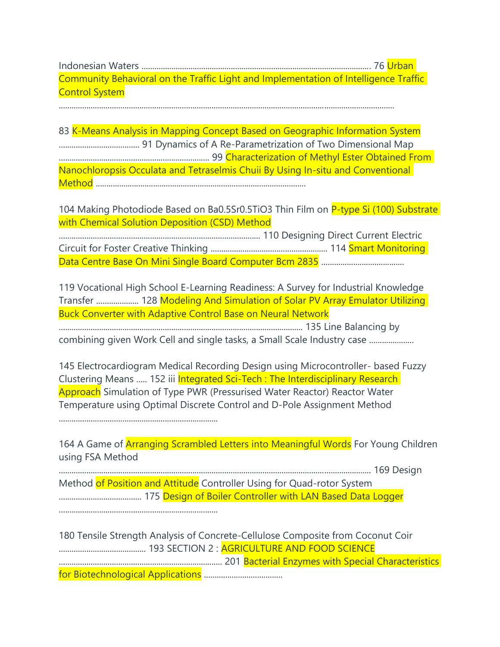Indonesian Waters ............................................................................................................ 76 Urban Community Behavioral on the Traffic Light and Implementation of Intelligence Traffic Control System

..............................................................................................................................................................

83 K-Means Analysis in Mapping Concept Based on Geographic Information System ...................................... 91 Dynamics of A Re-Parametrization of Two Dimensional Map ....................................................................... 99 Characterization of Methyl Ester Obtained From Nanochloropsis Occulata and Tetraselmis Chuii By Using In-situ and Conventional Method ...................................................................................................

104 Making Photodiode Based on Ba0.5Sr0.5TiO3 Thin Film on P-type Si (100) Substrate with Chemical Solution Deposition (CSD) Method

............................................................................................... 110 Designing Direct Current Electric Circuit for Foster Creative Thinking ....................................................... 114 Smart Monitoring Data Centre Base On Mini Single Board Computer Bcm 2835 .......................................

119 Vocational High School E-Learning Readiness: A Survey for Industrial Knowledge Transfer .................... 128 Modeling And Simulation of Solar PV Array Emulator Utilizing Buck Converter with Adaptive Control Base on Neural Network

................................................................................................................... 135 Line Balancing by

combining given Work Cell and single tasks, a Small Scale Industry case .....................

145 Electrocardiogram Medical Recording Design using Microcontroller- based Fuzzy Clustering Means ..... 152 iii Integrated Sci-Tech : The Interdisciplinary Research Approach Simulation of Type PWR (Pressurised Water Reactor) Reactor Water Temperature using Optimal Discrete Control and D-Pole Assignment Method

...........................................................................

164 A Game of Arranging Scrambled Letters into Meaningful Words For Young Children using FSA Method

................................................................................................................................................... 169 Design Method of Position and Attitude Controller Using for Quad-rotor System ....................................... 175 Design of Boiler Controller with LAN Based Data Logger

...........................................................................

180 Tensile Strength Analysis of Concrete-Cellulose Composite from Coconut Coir ......................................... 193 SECTION 2 : AGRICULTURE AND FOOD SCIENCE ............................................................................. 201 Bacterial Enzymes with Special Characteristics for Biotechnological Applications .....................................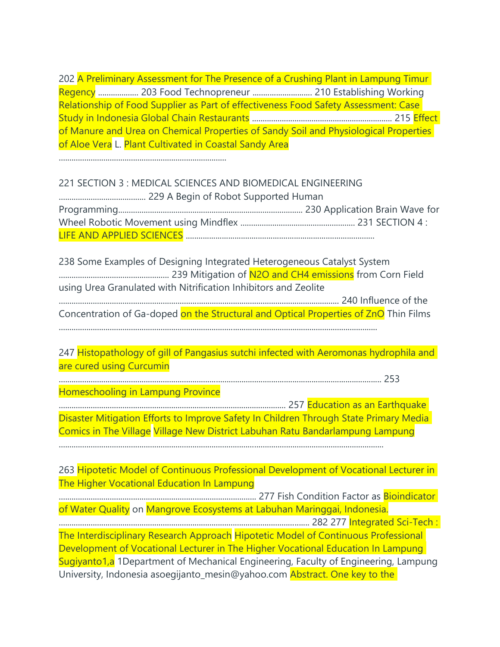202 A Preliminary Assessment for The Presence of a Crushing Plant in Lampung Timur Regency ................... 203 Food Technopreneur ............................ 210 Establishing Working Relationship of Food Supplier as Part of effectiveness Food Safety Assessment: Case Study in Indonesia Global Chain Restaurants .................................................................. 215 Effect of Manure and Urea on Chemical Properties of Sandy Soil and Physiological Properties of Aloe Vera L. Plant Cultivated in Coastal Sandy Area

...............................................................................

# 221 SECTION 3 : MEDICAL SCIENCES AND BIOMEDICAL ENGINEERING ......................................... 229 A Begin of Robot Supported Human Programming....................................................................................... 230 Application Brain Wave for Wheel Robotic Movement using Mindflex ...................................................... 231 SECTION 4 : LIFE AND APPLIED SCIENCES .........................................................................................

238 Some Examples of Designing Integrated Heterogeneous Catalyst System .................................................... 239 Mitigation of N2O and CH4 emissions from Corn Field using Urea Granulated with Nitrification Inhibitors and Zeolite .................................................................................................................................... 240 Influence of the Concentration of Ga-doped on the Structural and Optical Properties of ZnO Thin Films ......................................................................................................................................................

247 Histopathology of gill of Pangasius sutchi infected with Aeromonas hydrophila and are cured using Curcumin

........................................................................................................................................................ 253

Homeschooling in Lampung Province

........................................................................................................... 257 Education as an Earthquake Disaster Mitigation Efforts to Improve Safety In Children Through State Primary Media Comics in The Village Village New District Labuhan Ratu Bandarlampung Lampung

.........................................................................................................................................................

263 Hipotetic Model of Continuous Professional Development of Vocational Lecturer in The Higher Vocational Education In Lampung

............................................................................................. 277 Fish Condition Factor as Bioindicator of Water Quality on Mangrove Ecosystems at Labuhan Maringgai, Indonesia.

...................................................................................................................... 282 277 Integrated Sci-Tech : The Interdisciplinary Research Approach Hipotetic Model of Continuous Professional Development of Vocational Lecturer in The Higher Vocational Education In Lampung Sugiyanto1,a 1Department of Mechanical Engineering, Faculty of Engineering, Lampung University, Indonesia asoegijanto\_mesin@yahoo.com Abstract. One key to the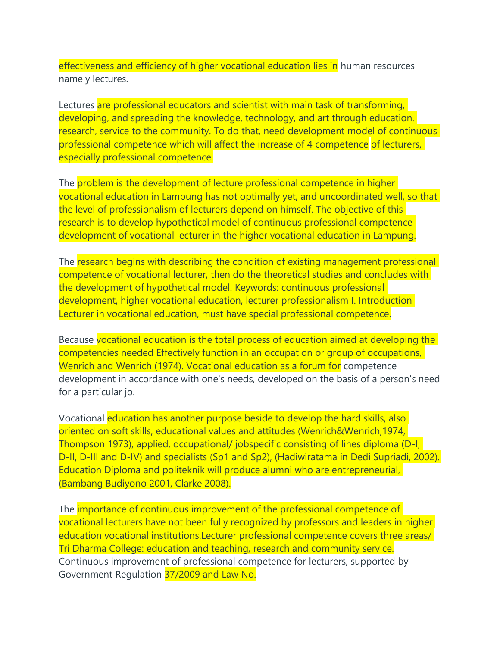effectiveness and efficiency of higher vocational education lies in human resources namely lectures.

Lectures are professional educators and scientist with main task of transforming, developing, and spreading the knowledge, technology, and art through education, research, service to the community. To do that, need development model of continuous professional competence which will affect the increase of 4 competence of lecturers, especially professional competence.

The problem is the development of lecture professional competence in higher vocational education in Lampung has not optimally yet, and uncoordinated well, so that the level of professionalism of lecturers depend on himself. The objective of this research is to develop hypothetical model of continuous professional competence development of vocational lecturer in the higher vocational education in Lampung.

The research begins with describing the condition of existing management professional competence of vocational lecturer, then do the theoretical studies and concludes with the development of hypothetical model. Keywords: continuous professional development, higher vocational education, lecturer professionalism I. Introduction Lecturer in vocational education, must have special professional competence.

Because vocational education is the total process of education aimed at developing the competencies needed Effectively function in an occupation or group of occupations, Wenrich and Wenrich (1974). Vocational education as a forum for competence development in accordance with one's needs, developed on the basis of a person's need for a particular jo.

Vocational education has another purpose beside to develop the hard skills, also oriented on soft skills, educational values and attitudes (Wenrich&Wenrich,1974, Thompson 1973), applied, occupational/ jobspecific consisting of lines diploma (D-I, D-II, D-III and D-IV) and specialists (Sp1 and Sp2), (Hadiwiratama in Dedi Supriadi, 2002). Education Diploma and politeknik will produce alumni who are entrepreneurial, (Bambang Budiyono 2001, Clarke 2008).

The **importance of continuous improvement of the professional competence of** vocational lecturers have not been fully recognized by professors and leaders in higher education vocational institutions.Lecturer professional competence covers three areas/ Tri Dharma College: education and teaching, research and community service. Continuous improvement of professional competence for lecturers, supported by Government Regulation 37/2009 and Law No.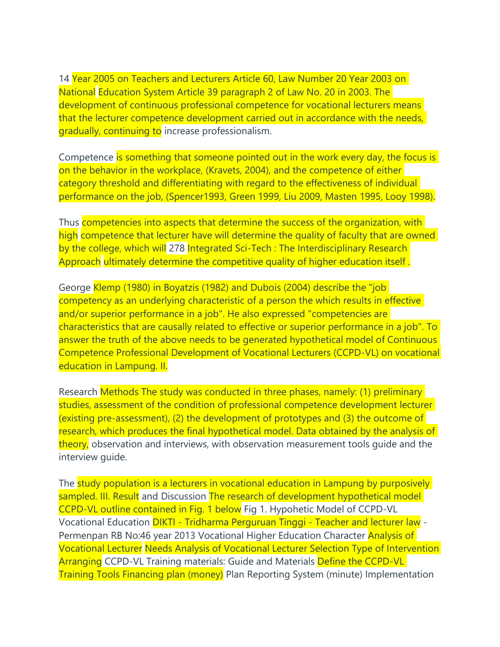14 Year 2005 on Teachers and Lecturers Article 60, Law Number 20 Year 2003 on National Education System Article 39 paragraph 2 of Law No. 20 in 2003. The development of continuous professional competence for vocational lecturers means that the lecturer competence development carried out in accordance with the needs, gradually, continuing to increase professionalism.

Competence is something that someone pointed out in the work every day, the focus is on the behavior in the workplace, (Kravets, 2004), and the competence of either category threshold and differentiating with regard to the effectiveness of individual performance on the job, (Spencer1993, Green 1999, Liu 2009, Masten 1995, Looy 1998).

Thus competencies into aspects that determine the success of the organization, with high competence that lecturer have will determine the quality of faculty that are owned by the college, which will 278 Integrated Sci-Tech : The Interdisciplinary Research Approach ultimately determine the competitive quality of higher education itself .

George Klemp (1980) in Boyatzis (1982) and Dubois (2004) describe the "job competency as an underlying characteristic of a person the which results in effective and/or superior performance in a job". He also expressed "competencies are characteristics that are causally related to effective or superior performance in a job". To answer the truth of the above needs to be generated hypothetical model of Continuous Competence Professional Development of Vocational Lecturers (CCPD-VL) on vocational education in Lampung. II.

Research Methods The study was conducted in three phases, namely: (1) preliminary studies, assessment of the condition of professional competence development lecturer (existing pre-assessment), (2) the development of prototypes and (3) the outcome of research, which produces the final hypothetical model. Data obtained by the analysis of theory, observation and interviews, with observation measurement tools quide and the interview guide.

The study population is a lecturers in vocational education in Lampung by purposively sampled. III. Result and Discussion The research of development hypothetical model CCPD-VL outline contained in Fig. 1 below Fig 1. Hypohetic Model of CCPD-VL Vocational Education DIKTI - Tridharma Perguruan Tinggi - Teacher and lecturer law - Permenpan RB No:46 year 2013 Vocational Higher Education Character **Analysis of** Vocational Lecturer Needs Analysis of Vocational Lecturer Selection Type of Intervention Arranging CCPD-VL Training materials: Guide and Materials Define the CCPD-VL Training Tools Financing plan (money) Plan Reporting System (minute) Implementation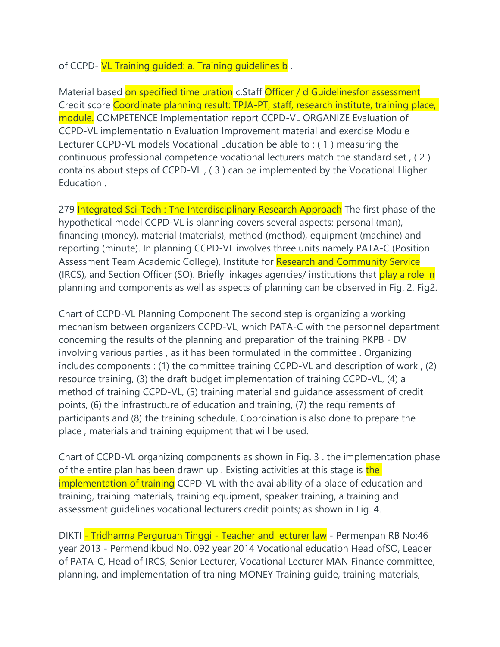### of CCPD- VL Training guided: a. Training guidelines b.

Material based on specified time uration c.Staff Officer / d Guidelinesfor assessment Credit score Coordinate planning result: TPJA-PT, staff, research institute, training place, module. COMPETENCE Implementation report CCPD-VL ORGANIZE Evaluation of CCPD-VL implementatio n Evaluation Improvement material and exercise Module Lecturer CCPD-VL models Vocational Education be able to : ( 1 ) measuring the continuous professional competence vocational lecturers match the standard set , ( 2 ) contains about steps of CCPD-VL , ( 3 ) can be implemented by the Vocational Higher Education .

279 Integrated Sci-Tech : The Interdisciplinary Research Approach The first phase of the hypothetical model CCPD-VL is planning covers several aspects: personal (man), financing (money), material (materials), method (method), equipment (machine) and reporting (minute). In planning CCPD-VL involves three units namely PATA-C (Position Assessment Team Academic College), Institute for Research and Community Service (IRCS), and Section Officer (SO). Briefly linkages agencies/ institutions that play a role in planning and components as well as aspects of planning can be observed in Fig. 2. Fig2.

Chart of CCPD-VL Planning Component The second step is organizing a working mechanism between organizers CCPD-VL, which PATA-C with the personnel department concerning the results of the planning and preparation of the training PKPB - DV involving various parties , as it has been formulated in the committee . Organizing includes components : (1) the committee training CCPD-VL and description of work , (2) resource training, (3) the draft budget implementation of training CCPD-VL, (4) a method of training CCPD-VL, (5) training material and guidance assessment of credit points, (6) the infrastructure of education and training, (7) the requirements of participants and (8) the training schedule. Coordination is also done to prepare the place , materials and training equipment that will be used.

Chart of CCPD-VL organizing components as shown in Fig. 3 . the implementation phase of the entire plan has been drawn up . Existing activities at this stage is the implementation of training CCPD-VL with the availability of a place of education and training, training materials, training equipment, speaker training, a training and assessment guidelines vocational lecturers credit points; as shown in Fig. 4.

DIKTI - Tridharma Perguruan Tinggi - Teacher and lecturer law - Permenpan RB No:46 year 2013 - Permendikbud No. 092 year 2014 Vocational education Head ofSO, Leader of PATA-C, Head of IRCS, Senior Lecturer, Vocational Lecturer MAN Finance committee, planning, and implementation of training MONEY Training guide, training materials,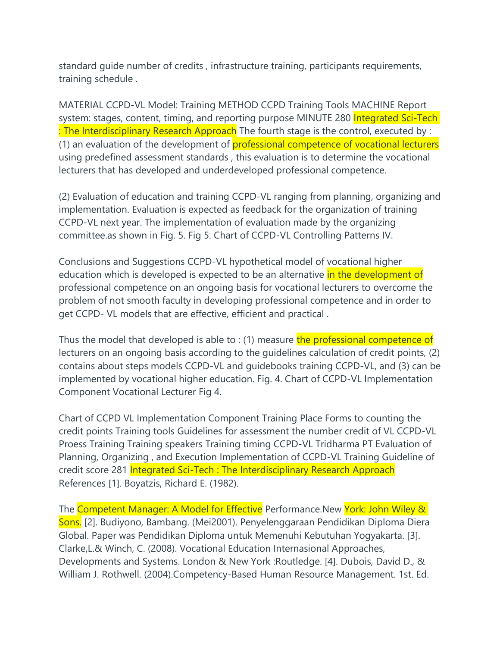standard guide number of credits , infrastructure training, participants requirements, training schedule .

MATERIAL CCPD-VL Model: Training METHOD CCPD Training Tools MACHINE Report system: stages, content, timing, and reporting purpose MINUTE 280 Integrated Sci-Tech : The Interdisciplinary Research Approach The fourth stage is the control, executed by : (1) an evaluation of the development of professional competence of vocational lecturers using predefined assessment standards , this evaluation is to determine the vocational lecturers that has developed and underdeveloped professional competence.

(2) Evaluation of education and training CCPD-VL ranging from planning, organizing and implementation. Evaluation is expected as feedback for the organization of training CCPD-VL next year. The implementation of evaluation made by the organizing committee.as shown in Fig. 5. Fig 5. Chart of CCPD-VL Controlling Patterns IV.

Conclusions and Suggestions CCPD-VL hypothetical model of vocational higher education which is developed is expected to be an alternative in the development of professional competence on an ongoing basis for vocational lecturers to overcome the problem of not smooth faculty in developing professional competence and in order to get CCPD- VL models that are effective, efficient and practical .

Thus the model that developed is able to : (1) measure the professional competence of lecturers on an ongoing basis according to the guidelines calculation of credit points, (2) contains about steps models CCPD-VL and guidebooks training CCPD-VL, and (3) can be implemented by vocational higher education. Fig. 4. Chart of CCPD-VL Implementation Component Vocational Lecturer Fig 4.

Chart of CCPD VL Implementation Component Training Place Forms to counting the credit points Training tools Guidelines for assessment the number credit of VL CCPD-VL Proess Training Training speakers Training timing CCPD-VL Tridharma PT Evaluation of Planning, Organizing , and Execution Implementation of CCPD-VL Training Guideline of credit score 281 Integrated Sci-Tech : The Interdisciplinary Research Approach References [1]. Boyatzis, Richard E. (1982).

The Competent Manager: A Model for Effective Performance.New York: John Wiley & Sons. [2]. Budiyono, Bambang. (Mei2001). Penyelenggaraan Pendidikan Diploma Diera Global. Paper was Pendidikan Diploma untuk Memenuhi Kebutuhan Yogyakarta. [3]. Clarke,L.& Winch, C. (2008). Vocational Education Internasional Approaches, Developments and Systems. London & New York :Routledge. [4]. Dubois, David D., & William J. Rothwell. (2004).Competency-Based Human Resource Management. 1st. Ed.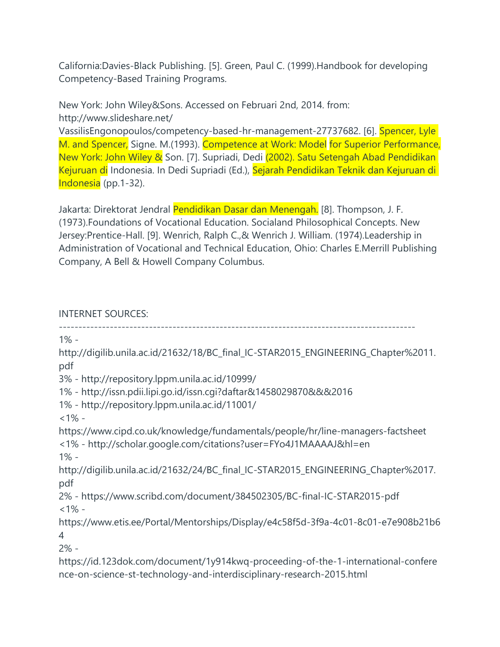California:Davies-Black Publishing. [5]. Green, Paul C. (1999).Handbook for developing Competency-Based Training Programs.

## New York: John Wiley&Sons. Accessed on Februari 2nd, 2014. from: http://www.slideshare.net/

VassilisEngonopoulos/competency-based-hr-management-27737682. [6]. Spencer, Lyle M. and Spencer, Signe. M.(1993). Competence at Work: Model for Superior Performance, New York: John Wiley & Son. [7]. Supriadi, Dedi (2002). Satu Setengah Abad Pendidikan Kejuruan di Indonesia. In Dedi Supriadi (Ed.), Sejarah Pendidikan Teknik dan Kejuruan di Indonesia (pp.1-32).

Jakarta: Direktorat Jendral Pendidikan Dasar dan Menengah. [8]. Thompson, J. F. (1973).Foundations of Vocational Education. Socialand Philosophical Concepts. New Jersey:Prentice-Hall. [9]. Wenrich, Ralph C.,& Wenrich J. William. (1974).Leadership in Administration of Vocational and Technical Education, Ohio: Charles E.Merrill Publishing Company, A Bell & Howell Company Columbus.

## INTERNET SOURCES:

------------------------------------------------------------------------------------------- 1% http://digilib.unila.ac.id/21632/18/BC\_final\_IC-STAR2015\_ENGINEERING\_Chapter%2011. pdf 3% - http://repository.lppm.unila.ac.id/10999/ 1% - http://issn.pdii.lipi.go.id/issn.cgi?daftar&1458029870&&&2016 1% - http://repository.lppm.unila.ac.id/11001/  $<1\%$  https://www.cipd.co.uk/knowledge/fundamentals/people/hr/line-managers-factsheet <1% - http://scholar.google.com/citations?user=FYo4J1MAAAAJ&hl=en 1% http://digilib.unila.ac.id/21632/24/BC\_final\_IC-STAR2015\_ENGINEERING\_Chapter%2017. pdf 2% - https://www.scribd.com/document/384502305/BC-final-IC-STAR2015-pdf  $<1\%$  https://www.etis.ee/Portal/Mentorships/Display/e4c58f5d-3f9a-4c01-8c01-e7e908b21b6

4

2% -

https://id.123dok.com/document/1y914kwq-proceeding-of-the-1-international-confere nce-on-science-st-technology-and-interdisciplinary-research-2015.html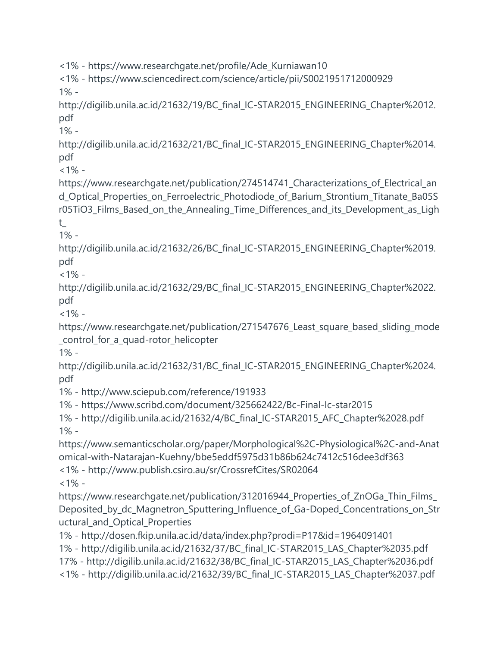<1% - https://www.researchgate.net/profile/Ade\_Kurniawan10

<1% - https://www.sciencedirect.com/science/article/pii/S0021951712000929 1% -

http://digilib.unila.ac.id/21632/19/BC\_final\_IC-STAR2015\_ENGINEERING\_Chapter%2012. pdf

1% -

http://digilib.unila.ac.id/21632/21/BC\_final\_IC-STAR2015\_ENGINEERING\_Chapter%2014. pdf

 $<1\%$  -

https://www.researchgate.net/publication/274514741\_Characterizations\_of\_Electrical\_an d\_Optical\_Properties\_on\_Ferroelectric\_Photodiode\_of\_Barium\_Strontium\_Titanate\_Ba05S r05TiO3\_Films\_Based\_on\_the\_Annealing\_Time\_Differences\_and\_its\_Development\_as\_Ligh

t\_

1% -

http://digilib.unila.ac.id/21632/26/BC\_final\_IC-STAR2015\_ENGINEERING\_Chapter%2019. pdf

 $<1\%$  -

http://digilib.unila.ac.id/21632/29/BC\_final\_IC-STAR2015\_ENGINEERING\_Chapter%2022. pdf

 $<1\%$  -

https://www.researchgate.net/publication/271547676\_Least\_square\_based\_sliding\_mode \_control\_for\_a\_quad-rotor\_helicopter

1% -

http://digilib.unila.ac.id/21632/31/BC\_final\_IC-STAR2015\_ENGINEERING\_Chapter%2024. pdf

1% - http://www.sciepub.com/reference/191933

1% - https://www.scribd.com/document/325662422/Bc-Final-Ic-star2015

1% - http://digilib.unila.ac.id/21632/4/BC\_final\_IC-STAR2015\_AFC\_Chapter%2028.pdf 1% -

https://www.semanticscholar.org/paper/Morphological%2C-Physiological%2C-and-Anat omical-with-Natarajan-Kuehny/bbe5eddf5975d31b86b624c7412c516dee3df363 <1% - http://www.publish.csiro.au/sr/CrossrefCites/SR02064

 $<1\%$  -

https://www.researchgate.net/publication/312016944\_Properties\_of\_ZnOGa\_Thin\_Films\_ Deposited\_by\_dc\_Magnetron\_Sputtering\_Influence\_of\_Ga-Doped\_Concentrations\_on\_Str uctural\_and\_Optical\_Properties

1% - http://dosen.fkip.unila.ac.id/data/index.php?prodi=P17&id=1964091401

1% - http://digilib.unila.ac.id/21632/37/BC\_final\_IC-STAR2015\_LAS\_Chapter%2035.pdf

17% - http://digilib.unila.ac.id/21632/38/BC\_final\_IC-STAR2015\_LAS\_Chapter%2036.pdf

<1% - http://digilib.unila.ac.id/21632/39/BC\_final\_IC-STAR2015\_LAS\_Chapter%2037.pdf